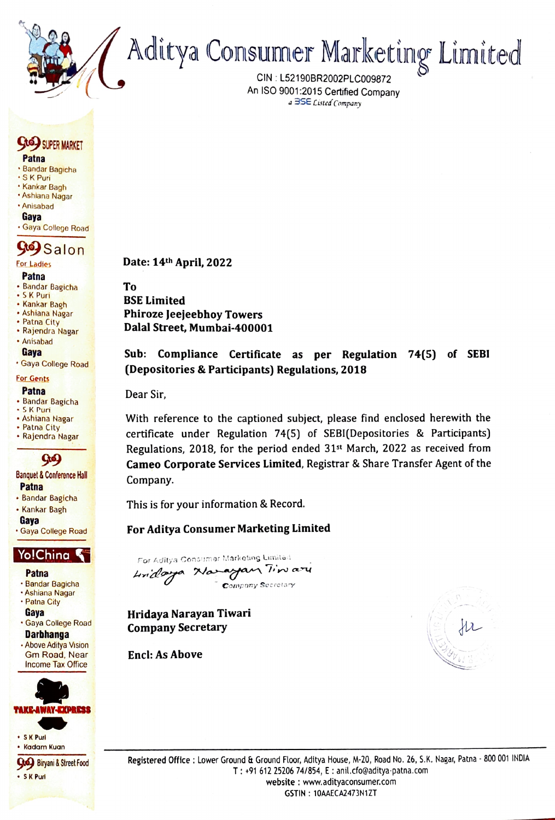Aditya Consumer Marketing Limited

CIN: L52190BR2002PLCO09872 An ISO 9001:2015 Certified Company<br>a 3SE Listed Company

#### 9 SIPER MARKET Patna

- Bandar Bagicha
- SK Puri
- Kankar Bagh
- Ashlana Nagar Anisabad
- Gaya
- Gaya College Road

# **969** Salon

#### Patna

- Bandar Bagicha<br>• S K Puri<br>• Kankar Bagh
- 
- 
- 
- Ashiana Nagar<br>• Patna City<br>• Rajendra Nagar<br>• Anisabad
- 

#### Gaya

Gaya College Road

#### For Gents

#### Patna

- 
- Bandar Bagicha<br>• S.K Puri<br>• Ashiana Nagar
- 
- Patna City<br>• Rajendra Nagar
- 



## Banquet & Conference Hall<br>Patna

- 
- Bandar Bagicha<br>• Kankar Bagh<br>• Gava
- 
- Gaya College Road

- Patna
- Bandar Bagicha
- Ashiana Nagar Patna City
- Gaya
- Gaya College Road **Darbhanga**
- Above Aditya Vision Gm Road, Near Income Tax Office



Date: 14th April, 2022

To BSE Limited Phiroze Jeejeebhoy Towers Dalal Street, Mumbai-400001

### Sub: Compliance Certificate as per Regulation 74(5) of SEBI (Depositories & Participants) Regulations, 2018

Dear Sir,

With reference to the captioned subject, please find enclosed herewith the certificate under Regulation 74(5) of SEBI(Depositories & Participants) Regulations, 2018, for the period ended 31st March, 2022 as received from 99 Cameo Corporate Services Limited, Registrar & Share Transfer Agent of the Company.

This is for your information & Record.

### For Aditya Consumer Marketing Limited

Yo!Ching  $\sum_{\text{For Aditya Consumer Markoting Limited}}$ undoa Naram Tin Company Secretary

> Hridaya Narayan Tiwari Company Secretary

Encl: As Above